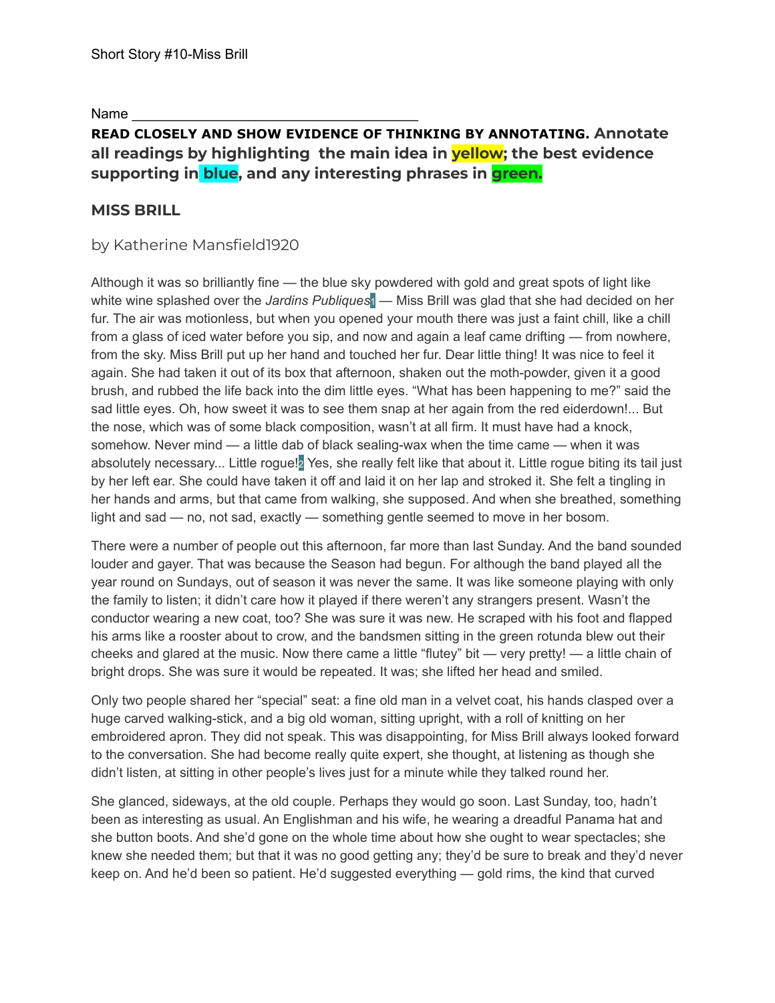Name

## **READ CLOSELY AND SHOW EVIDENCE OF THINKING BY ANNOTATING. Annotate all readings by highlighting the main idea in yellow; the best evidence supporting in blue, and any interesting phrases in green.**

## **MISS BRILL**

## by Katherine Mansfield1920

Although it was so brilliantly fine — the blue sky powdered with gold and great spots of light like white wine splashed over the *Jardins Publiques*1 — Miss Brill was glad that she had decided on her fur. The air was motionless, but when you opened your mouth there was just a faint chill, like a chill from a glass of iced water before you sip, and now and again a leaf came drifting — from nowhere, from the sky. Miss Brill put up her hand and touched her fur. Dear little thing! It was nice to feel it again. She had taken it out of its box that afternoon, shaken out the moth-powder, given it a good brush, and rubbed the life back into the dim little eyes. "What has been happening to me?" said the sad little eyes. Oh, how sweet it was to see them snap at her again from the red eiderdown!... But the nose, which was of some black composition, wasn't at all firm. It must have had a knock, somehow. Never mind — a little dab of black sealing-wax when the time came — when it was absolutely necessary... Little roque!<sup>2</sup> Yes, she really felt like that about it. Little roque biting its tail just by her left ear. She could have taken it off and laid it on her lap and stroked it. She felt a tingling in her hands and arms, but that came from walking, she supposed. And when she breathed, something light and sad — no, not sad, exactly — something gentle seemed to move in her bosom.

There were a number of people out this afternoon, far more than last Sunday. And the band sounded louder and gayer. That was because the Season had begun. For although the band played all the year round on Sundays, out of season it was never the same. It was like someone playing with only the family to listen; it didn't care how it played if there weren't any strangers present. Wasn't the conductor wearing a new coat, too? She was sure it was new. He scraped with his foot and flapped his arms like a rooster about to crow, and the bandsmen sitting in the green rotunda blew out their cheeks and glared at the music. Now there came a little "flutey" bit — very pretty! — a little chain of bright drops. She was sure it would be repeated. It was; she lifted her head and smiled.

Only two people shared her "special" seat: a fine old man in a velvet coat, his hands clasped over a huge carved walking-stick, and a big old woman, sitting upright, with a roll of knitting on her embroidered apron. They did not speak. This was disappointing, for Miss Brill always looked forward to the conversation. She had become really quite expert, she thought, at listening as though she didn't listen, at sitting in other people's lives just for a minute while they talked round her.

She glanced, sideways, at the old couple. Perhaps they would go soon. Last Sunday, too, hadn't been as interesting as usual. An Englishman and his wife, he wearing a dreadful Panama hat and she button boots. And she'd gone on the whole time about how she ought to wear spectacles; she knew she needed them; but that it was no good getting any; they'd be sure to break and they'd never keep on. And he'd been so patient. He'd suggested everything — gold rims, the kind that curved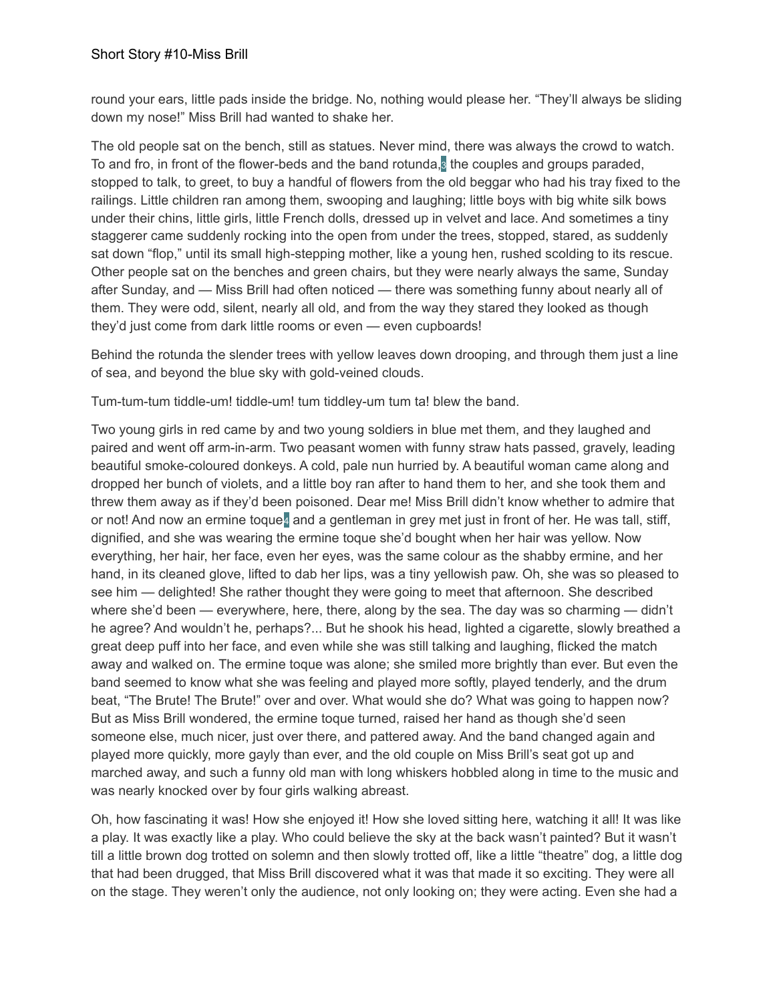round your ears, little pads inside the bridge. No, nothing would please her. "They'll always be sliding down my nose!" Miss Brill had wanted to shake her.

The old people sat on the bench, still as statues. Never mind, there was always the crowd to watch. To and fro, in front of the flower-beds and the band rotunda,  $\frac{1}{2}$  the couples and groups paraded, stopped to talk, to greet, to buy a handful of flowers from the old beggar who had his tray fixed to the railings. Little children ran among them, swooping and laughing; little boys with big white silk bows under their chins, little girls, little French dolls, dressed up in velvet and lace. And sometimes a tiny staggerer came suddenly rocking into the open from under the trees, stopped, stared, as suddenly sat down "flop," until its small high-stepping mother, like a young hen, rushed scolding to its rescue. Other people sat on the benches and green chairs, but they were nearly always the same, Sunday after Sunday, and — Miss Brill had often noticed — there was something funny about nearly all of them. They were odd, silent, nearly all old, and from the way they stared they looked as though they'd just come from dark little rooms or even — even cupboards!

Behind the rotunda the slender trees with yellow leaves down drooping, and through them just a line of sea, and beyond the blue sky with gold-veined clouds.

Tum-tum-tum tiddle-um! tiddle-um! tum tiddley-um tum ta! blew the band.

Two young girls in red came by and two young soldiers in blue met them, and they laughed and paired and went off arm-in-arm. Two peasant women with funny straw hats passed, gravely, leading beautiful smoke-coloured donkeys. A cold, pale nun hurried by. A beautiful woman came along and dropped her bunch of violets, and a little boy ran after to hand them to her, and she took them and threw them away as if they'd been poisoned. Dear me! Miss Brill didn't know whether to admire that or not! And now an ermine toque4 and a gentleman in grey met just in front of her. He was tall, stiff, dignified, and she was wearing the ermine toque she'd bought when her hair was yellow. Now everything, her hair, her face, even her eyes, was the same colour as the shabby ermine, and her hand, in its cleaned glove, lifted to dab her lips, was a tiny yellowish paw. Oh, she was so pleased to see him — delighted! She rather thought they were going to meet that afternoon. She described where she'd been — everywhere, here, there, along by the sea. The day was so charming — didn't he agree? And wouldn't he, perhaps?... But he shook his head, lighted a cigarette, slowly breathed a great deep puff into her face, and even while she was still talking and laughing, flicked the match away and walked on. The ermine toque was alone; she smiled more brightly than ever. But even the band seemed to know what she was feeling and played more softly, played tenderly, and the drum beat, "The Brute! The Brute!" over and over. What would she do? What was going to happen now? But as Miss Brill wondered, the ermine toque turned, raised her hand as though she'd seen someone else, much nicer, just over there, and pattered away. And the band changed again and played more quickly, more gayly than ever, and the old couple on Miss Brill's seat got up and marched away, and such a funny old man with long whiskers hobbled along in time to the music and was nearly knocked over by four girls walking abreast.

Oh, how fascinating it was! How she enjoyed it! How she loved sitting here, watching it all! It was like a play. It was exactly like a play. Who could believe the sky at the back wasn't painted? But it wasn't till a little brown dog trotted on solemn and then slowly trotted off, like a little "theatre" dog, a little dog that had been drugged, that Miss Brill discovered what it was that made it so exciting. They were all on the stage. They weren't only the audience, not only looking on; they were acting. Even she had a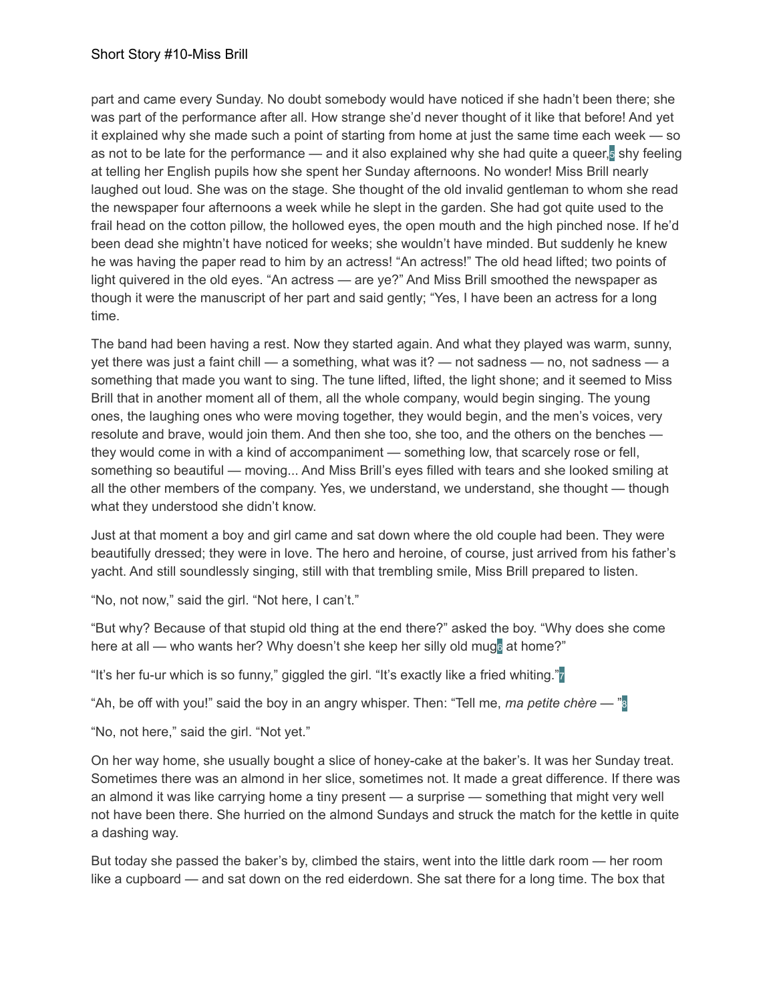part and came every Sunday. No doubt somebody would have noticed if she hadn't been there; she was part of the performance after all. How strange she'd never thought of it like that before! And yet it explained why she made such a point of starting from home at just the same time each week — so as not to be late for the performance — and it also explained why she had quite a queer,<sup>5</sup> shy feeling at telling her English pupils how she spent her Sunday afternoons. No wonder! Miss Brill nearly laughed out loud. She was on the stage. She thought of the old invalid gentleman to whom she read the newspaper four afternoons a week while he slept in the garden. She had got quite used to the frail head on the cotton pillow, the hollowed eyes, the open mouth and the high pinched nose. If he'd been dead she mightn't have noticed for weeks; she wouldn't have minded. But suddenly he knew he was having the paper read to him by an actress! "An actress!" The old head lifted; two points of light quivered in the old eyes. "An actress — are ye?" And Miss Brill smoothed the newspaper as though it were the manuscript of her part and said gently; "Yes, I have been an actress for a long time.

The band had been having a rest. Now they started again. And what they played was warm, sunny, yet there was just a faint chill — a something, what was it? — not sadness — no, not sadness — a something that made you want to sing. The tune lifted, lifted, the light shone; and it seemed to Miss Brill that in another moment all of them, all the whole company, would begin singing. The young ones, the laughing ones who were moving together, they would begin, and the men's voices, very resolute and brave, would join them. And then she too, she too, and the others on the benches they would come in with a kind of accompaniment — something low, that scarcely rose or fell, something so beautiful — moving... And Miss Brill's eyes filled with tears and she looked smiling at all the other members of the company. Yes, we understand, we understand, she thought — though what they understood she didn't know.

Just at that moment a boy and girl came and sat down where the old couple had been. They were beautifully dressed; they were in love. The hero and heroine, of course, just arrived from his father's yacht. And still soundlessly singing, still with that trembling smile, Miss Brill prepared to listen.

"No, not now," said the girl. "Not here, I can't."

"But why? Because of that stupid old thing at the end there?" asked the boy. "Why does she come here at all — who wants her? Why doesn't she keep her silly old mug<sup>®</sup> at home?"

"It's her fu-ur which is so funny," giggled the girl. "It's exactly like a fried whiting."7

"Ah, be off with you!" said the boy in an angry whisper. Then: "Tell me, *ma petite chère* — "8

"No, not here," said the girl. "Not yet."

On her way home, she usually bought a slice of honey-cake at the baker's. It was her Sunday treat. Sometimes there was an almond in her slice, sometimes not. It made a great difference. If there was an almond it was like carrying home a tiny present — a surprise — something that might very well not have been there. She hurried on the almond Sundays and struck the match for the kettle in quite a dashing way.

But today she passed the baker's by, climbed the stairs, went into the little dark room — her room like a cupboard — and sat down on the red eiderdown. She sat there for a long time. The box that